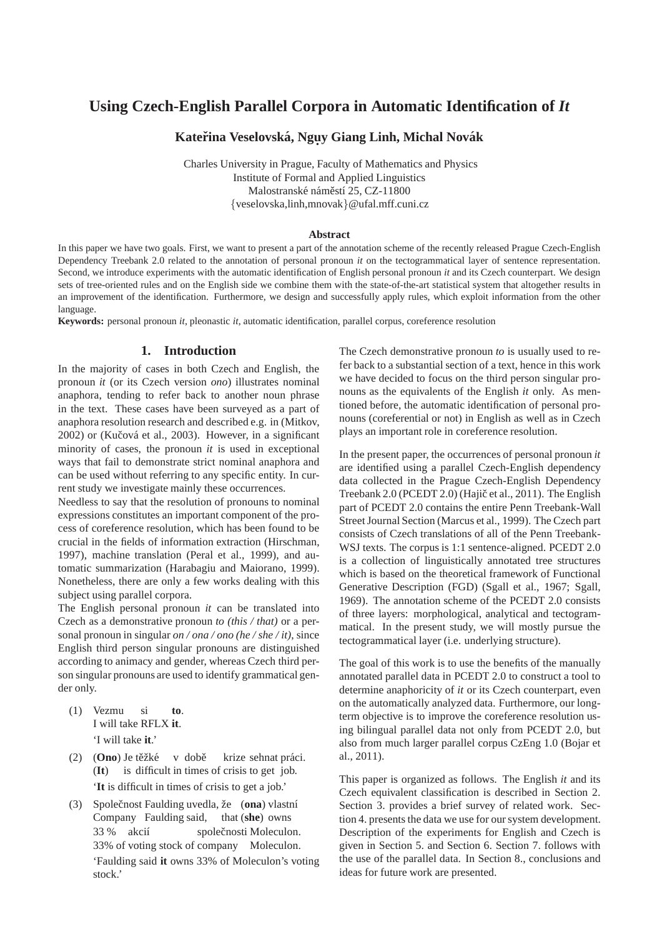# **Using Czech-English Parallel Corpora in Automatic Identification of** *It*

# $\bf{K}$ ateřina Veselovská, Ngụy Giang Linh, Michal Novák

Charles University in Prague, Faculty of Mathematics and Physics Institute of Formal and Applied Linguistics Malostranské náměstí 25, CZ-11800 {veselovska,linh,mnovak}@ufal.mff.cuni.cz

#### **Abstract**

In this paper we have two goals. First, we want to present a part of the annotation scheme of the recently released Prague Czech-English Dependency Treebank 2.0 related to the annotation of personal pronoun *it* on the tectogrammatical layer of sentence representation. Second, we introduce experiments with the automatic identification of English personal pronoun *it* and its Czech counterpart. We design sets of tree-oriented rules and on the English side we combine them with the state-of-the-art statistical system that altogether results in an improvement of the identification. Furthermore, we design and successfully apply rules, which exploit information from the other language.

**Keywords:** personal pronoun *it*, pleonastic *it*, automatic identification, parallel corpus, coreference resolution

### **1. Introduction**

In the majority of cases in both Czech and English, the pronoun *it* (or its Czech version *ono*) illustrates nominal anaphora, tending to refer back to another noun phrase in the text. These cases have been surveyed as a part of anaphora resolution research and described e.g. in (Mitkov, 2002) or (Kučová et al., 2003). However, in a significant minority of cases, the pronoun *it* is used in exceptional ways that fail to demonstrate strict nominal anaphora and can be used without referring to any specific entity. In current study we investigate mainly these occurrences.

Needless to say that the resolution of pronouns to nominal expressions constitutes an important component of the process of coreference resolution, which has been found to be crucial in the fields of information extraction (Hirschman, 1997), machine translation (Peral et al., 1999), and automatic summarization (Harabagiu and Maiorano, 1999). Nonetheless, there are only a few works dealing with this subject using parallel corpora.

The English personal pronoun *it* can be translated into Czech as a demonstrative pronoun *to (this / that)* or a personal pronoun in singular *on / ona / ono (he / she / it)*, since English third person singular pronouns are distinguished according to animacy and gender, whereas Czech third person singular pronouns are used to identify grammatical gender only.

- (1) Vezmu I will take RFLX **it**. si **to**. 'I will take **it**.'
- (2) (Ono) Je těžké v době (**It**) is difficult in times of crisis to get job. krize sehnat práci. '**It** is difficult in times of crisis to get a job.'
- (3) Společnost Faulding uvedla, že (ona) vlastní Company Faulding said, that (**she**) owns 33 % akcií 33% of voting stock of company Moleculon. společnosti Moleculon. 'Faulding said **it** owns 33% of Moleculon's voting stock.'

The Czech demonstrative pronoun *to* is usually used to refer back to a substantial section of a text, hence in this work we have decided to focus on the third person singular pronouns as the equivalents of the English *it* only. As mentioned before, the automatic identification of personal pronouns (coreferential or not) in English as well as in Czech plays an important role in coreference resolution.

In the present paper, the occurrences of personal pronoun *it* are identified using a parallel Czech-English dependency data collected in the Prague Czech-English Dependency Treebank 2.0 (PCEDT 2.0) (Hajič et al., 2011). The English part of PCEDT 2.0 contains the entire Penn Treebank-Wall Street Journal Section (Marcus et al., 1999). The Czech part consists of Czech translations of all of the Penn Treebank-WSJ texts. The corpus is 1:1 sentence-aligned. PCEDT 2.0 is a collection of linguistically annotated tree structures which is based on the theoretical framework of Functional Generative Description (FGD) (Sgall et al., 1967; Sgall, 1969). The annotation scheme of the PCEDT 2.0 consists of three layers: morphological, analytical and tectogrammatical. In the present study, we will mostly pursue the tectogrammatical layer (i.e. underlying structure).

The goal of this work is to use the benefits of the manually annotated parallel data in PCEDT 2.0 to construct a tool to determine anaphoricity of *it* or its Czech counterpart, even on the automatically analyzed data. Furthermore, our longterm objective is to improve the coreference resolution using bilingual parallel data not only from PCEDT 2.0, but also from much larger parallel corpus CzEng 1.0 (Bojar et al., 2011).

This paper is organized as follows. The English *it* and its Czech equivalent classification is described in Section 2. Section 3. provides a brief survey of related work. Section 4. presents the data we use for our system development. Description of the experiments for English and Czech is given in Section 5. and Section 6. Section 7. follows with the use of the parallel data. In Section 8., conclusions and ideas for future work are presented.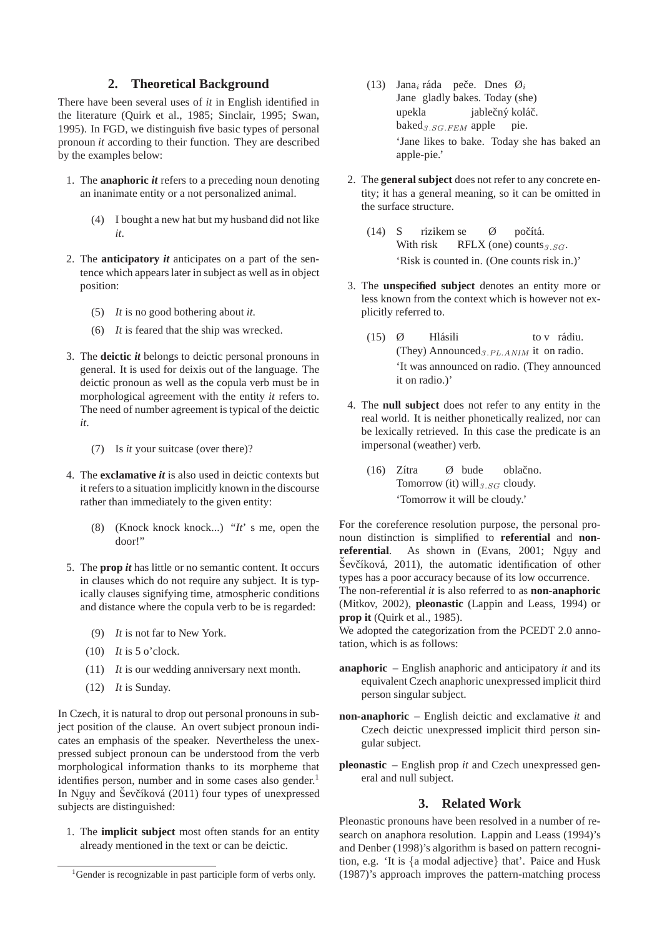# **2. Theoretical Background**

There have been several uses of *it* in English identified in the literature (Quirk et al., 1985; Sinclair, 1995; Swan, 1995). In FGD, we distinguish five basic types of personal pronoun *it* according to their function. They are described by the examples below:

- 1. The **anaphoric** *it* refers to a preceding noun denoting an inanimate entity or a not personalized animal.
	- (4) I bought a new hat but my husband did not like *it*.
- 2. The **anticipatory** *it* anticipates on a part of the sentence which appears later in subject as well as in object position:
	- (5) *It* is no good bothering about *it*.
	- (6) *It* is feared that the ship was wrecked.
- 3. The **deictic** *it* belongs to deictic personal pronouns in general. It is used for deixis out of the language. The deictic pronoun as well as the copula verb must be in morphological agreement with the entity *it* refers to. The need of number agreement is typical of the deictic *it*.
	- (7) Is *it* your suitcase (over there)?
- 4. The **exclamative** *it* is also used in deictic contexts but it refers to a situation implicitly known in the discourse rather than immediately to the given entity:
	- (8) (Knock knock knock...) "*It*' s me, open the door!"
- 5. The **prop** *it* has little or no semantic content. It occurs in clauses which do not require any subject. It is typically clauses signifying time, atmospheric conditions and distance where the copula verb to be is regarded:
	- (9) *It* is not far to New York.
	- (10) *It* is 5 o'clock.
	- (11) *It* is our wedding anniversary next month.
	- (12) *It* is Sunday.

In Czech, it is natural to drop out personal pronouns in subject position of the clause. An overt subject pronoun indicates an emphasis of the speaker. Nevertheless the unexpressed subject pronoun can be understood from the verb morphological information thanks to its morpheme that identifies person, number and in some cases also gender.<sup>1</sup> In Nguy and Ševčíková (2011) four types of unexpressed subjects are distinguished:

1. The **implicit subject** most often stands for an entity already mentioned in the text or can be deictic.

- (13) Jana<sub>i</sub> ráda peče. Dnes  $\mathcal{O}_i$ Jane gladly bakes. Today (she) upekla baked<sub>3.SG.FEM</sub> apple jablečný koláč. pie. 'Jane likes to bake. Today she has baked an apple-pie.'
- 2. The **general subject** does not refer to any concrete entity; it has a general meaning, so it can be omitted in the surface structure.
	- $(14)$  S With risk rizikem se RFLX (one) counts $_{3.SG}$ .  $\varnothing$ počítá. 'Risk is counted in. (One counts risk in.)'
- 3. The **unspecified subject** denotes an entity more or less known from the context which is however not explicitly referred to.
	- (15) Ø (They) Announced<sub>3.PL.ANIM</sub> it on radio. Hlásili to v rádiu. 'It was announced on radio. (They announced it on radio.)'
- 4. The **null subject** does not refer to any entity in the real world. It is neither phonetically realized, nor can be lexically retrieved. In this case the predicate is an impersonal (weather) verb.
	- $(16)$  Zítra Tomorrow (it)  $\text{will}_{3.SG}$  cloudy. Ø bude oblačno. 'Tomorrow it will be cloudy.'

For the coreference resolution purpose, the personal pronoun distinction is simplified to **referential** and **non**referential. As shown in (Evans, 2001; Nguy and Ševčíková, 2011), the automatic identification of other types has a poor accuracy because of its low occurrence. The non-referential *it* is also referred to as **non-anaphoric**

(Mitkov, 2002), **pleonastic** (Lappin and Leass, 1994) or **prop it** (Quirk et al., 1985).

We adopted the categorization from the PCEDT 2.0 annotation, which is as follows:

- **anaphoric** English anaphoric and anticipatory *it* and its equivalent Czech anaphoric unexpressed implicit third person singular subject.
- **non-anaphoric** English deictic and exclamative *it* and Czech deictic unexpressed implicit third person singular subject.
- **pleonastic** English prop *it* and Czech unexpressed general and null subject.

### **3. Related Work**

Pleonastic pronouns have been resolved in a number of research on anaphora resolution. Lappin and Leass (1994)'s and Denber (1998)'s algorithm is based on pattern recognition, e.g. 'It is {a modal adjective} that'. Paice and Husk (1987)'s approach improves the pattern-matching process

<sup>&</sup>lt;sup>1</sup>Gender is recognizable in past participle form of verbs only.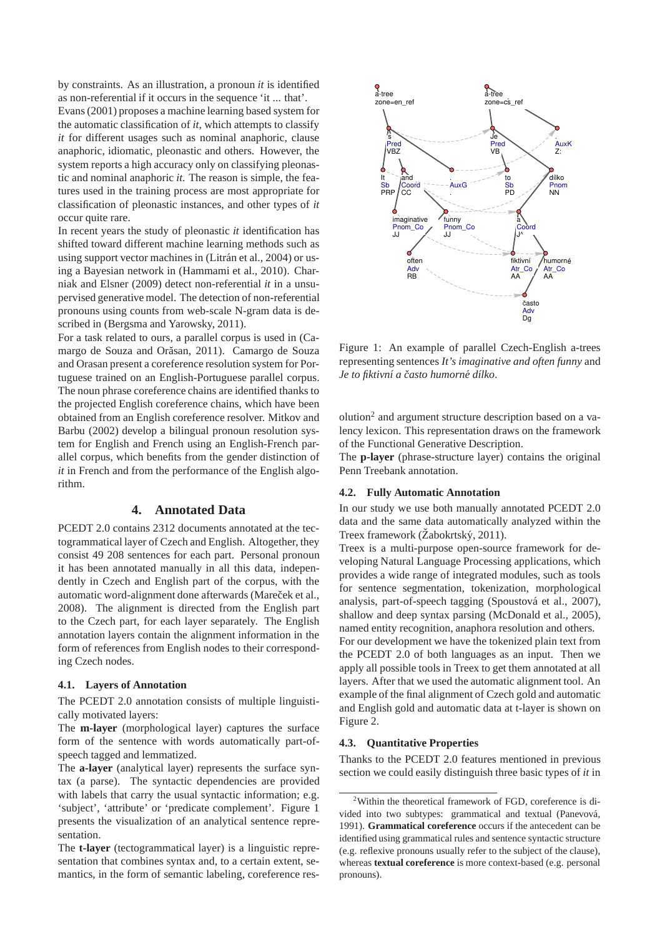by constraints. As an illustration, a pronoun *it* is identified as non-referential if it occurs in the sequence 'it ... that'.

Evans (2001) proposes a machine learning based system for the automatic classification of *it*, which attempts to classify *it* for different usages such as nominal anaphoric, clause anaphoric, idiomatic, pleonastic and others. However, the system reports a high accuracy only on classifying pleonastic and nominal anaphoric *it*. The reason is simple, the features used in the training process are most appropriate for classification of pleonastic instances, and other types of *it* occur quite rare.

In recent years the study of pleonastic *it* identification has shifted toward different machine learning methods such as using support vector machines in (Litrán et al., 2004) or using a Bayesian network in (Hammami et al., 2010). Charniak and Elsner (2009) detect non-referential *it* in a unsupervised generative model. The detection of non-referential pronouns using counts from web-scale N-gram data is described in (Bergsma and Yarowsky, 2011).

For a task related to ours, a parallel corpus is used in (Camargo de Souza and Orăsan, 2011). Camargo de Souza and Orasan present a coreference resolution system for Portuguese trained on an English-Portuguese parallel corpus. The noun phrase coreference chains are identified thanks to the projected English coreference chains, which have been obtained from an English coreference resolver. Mitkov and Barbu (2002) develop a bilingual pronoun resolution system for English and French using an English-French parallel corpus, which benefits from the gender distinction of *it* in French and from the performance of the English algorithm.

# **4. Annotated Data**

PCEDT 2.0 contains 2312 documents annotated at the tectogrammatical layer of Czech and English. Altogether, they consist 49 208 sentences for each part. Personal pronoun it has been annotated manually in all this data, independently in Czech and English part of the corpus, with the automatic word-alignment done afterwards (Mareček et al., 2008). The alignment is directed from the English part to the Czech part, for each layer separately. The English annotation layers contain the alignment information in the form of references from English nodes to their corresponding Czech nodes.

#### **4.1. Layers of Annotation**

The PCEDT 2.0 annotation consists of multiple linguistically motivated layers:

The **m-layer** (morphological layer) captures the surface form of the sentence with words automatically part-ofspeech tagged and lemmatized.

The **a-layer** (analytical layer) represents the surface syntax (a parse). The syntactic dependencies are provided with labels that carry the usual syntactic information; e.g. 'subject', 'attribute' or 'predicate complement'. Figure 1 presents the visualization of an analytical sentence representation.

The **t-layer** (tectogrammatical layer) is a linguistic representation that combines syntax and, to a certain extent, semantics, in the form of semantic labeling, coreference res-



Figure 1: An example of parallel Czech-English a-trees representing sentences *It's imaginative and often funny* and *Je to fiktivn´ı a casto humorn ˇ e d ´ ´ılko*.

olution<sup>2</sup> and argument structure description based on a valency lexicon. This representation draws on the framework of the Functional Generative Description.

The **p-layer** (phrase-structure layer) contains the original Penn Treebank annotation.

#### **4.2. Fully Automatic Annotation**

In our study we use both manually annotated PCEDT 2.0 data and the same data automatically analyzed within the Treex framework (Žabokrtský, 2011).

Treex is a multi-purpose open-source framework for developing Natural Language Processing applications, which provides a wide range of integrated modules, such as tools for sentence segmentation, tokenization, morphological analysis, part-of-speech tagging (Spoustová et al., 2007), shallow and deep syntax parsing (McDonald et al., 2005), named entity recognition, anaphora resolution and others.

For our development we have the tokenized plain text from the PCEDT 2.0 of both languages as an input. Then we apply all possible tools in Treex to get them annotated at all layers. After that we used the automatic alignment tool. An example of the final alignment of Czech gold and automatic and English gold and automatic data at t-layer is shown on Figure 2.

#### **4.3. Quantitative Properties**

Thanks to the PCEDT 2.0 features mentioned in previous section we could easily distinguish three basic types of *it* in

<sup>2</sup>Within the theoretical framework of FGD, coreference is divided into two subtypes: grammatical and textual (Panevová, 1991). **Grammatical coreference** occurs if the antecedent can be identified using grammatical rules and sentence syntactic structure (e.g. reflexive pronouns usually refer to the subject of the clause), whereas **textual coreference** is more context-based (e.g. personal pronouns).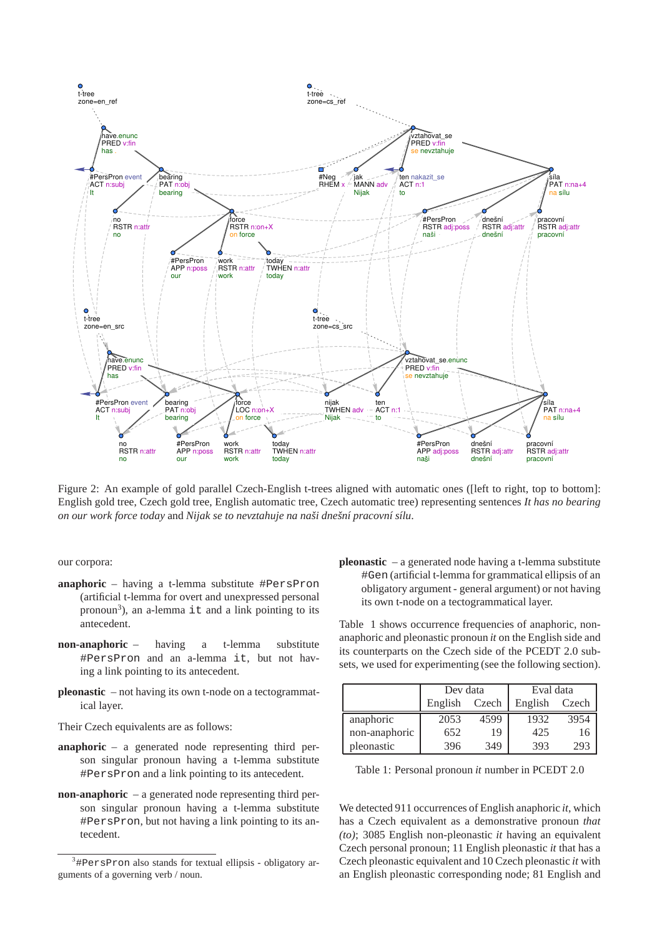

Figure 2: An example of gold parallel Czech-English t-trees aligned with automatic ones ([left to right, top to bottom]: English gold tree, Czech gold tree, English automatic tree, Czech automatic tree) representing sentences *It has no bearing on our work force today* and *Nijak se to nevztahuje na naˇsi dneˇsn´ı pracovn´ı s´ılu*.

our corpora:

- **anaphoric** having a t-lemma substitute #PersPron (artificial t-lemma for overt and unexpressed personal pronoun<sup>3</sup>), an a-lemma it and a link pointing to its antecedent.
- **non-anaphoric** having a t-lemma substitute #PersPron and an a-lemma it, but not having a link pointing to its antecedent.
- **pleonastic** not having its own t-node on a tectogrammatical layer.

Their Czech equivalents are as follows:

- **anaphoric** a generated node representing third person singular pronoun having a t-lemma substitute #PersPron and a link pointing to its antecedent.
- **non-anaphoric** a generated node representing third person singular pronoun having a t-lemma substitute #PersPron, but not having a link pointing to its antecedent.

**pleonastic** – a generated node having a t-lemma substitute #Gen (artificial t-lemma for grammatical ellipsis of an obligatory argument - general argument) or not having its own t-node on a tectogrammatical layer.

Table 1 shows occurrence frequencies of anaphoric, nonanaphoric and pleonastic pronoun *it* on the English side and its counterparts on the Czech side of the PCEDT 2.0 subsets, we used for experimenting (see the following section).

|               | Dev data |       | Eval data |       |  |  |
|---------------|----------|-------|-----------|-------|--|--|
|               | English  | Czech | English   | Czech |  |  |
| anaphoric     | 2053     | 4599  | 1932      | 3954  |  |  |
| non-anaphoric | 652      | 19    | 425       | 16    |  |  |
| pleonastic    | 396      | 349   | 393       | 293   |  |  |

|  |  |  |  |  | Table 1: Personal pronoun <i>it</i> number in PCEDT 2.0 |  |  |  |  |  |
|--|--|--|--|--|---------------------------------------------------------|--|--|--|--|--|
|--|--|--|--|--|---------------------------------------------------------|--|--|--|--|--|

We detected 911 occurrences of English anaphoric *it*, which has a Czech equivalent as a demonstrative pronoun *that (to)*; 3085 English non-pleonastic *it* having an equivalent Czech personal pronoun; 11 English pleonastic *it* that has a Czech pleonastic equivalent and 10 Czech pleonastic *it* with an English pleonastic corresponding node; 81 English and

 $3\#$ PersPron also stands for textual ellipsis - obligatory arguments of a governing verb / noun.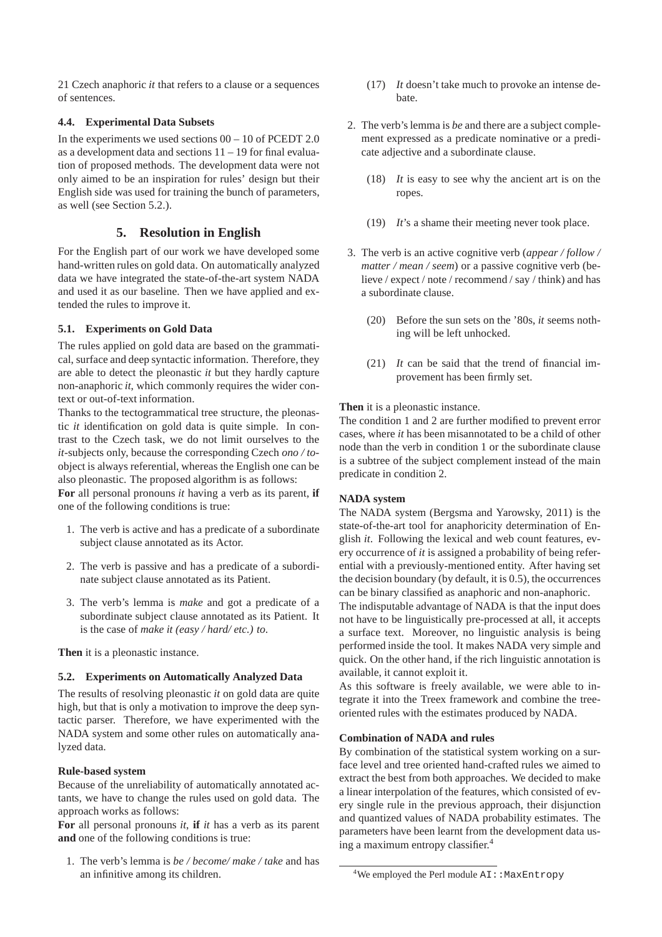21 Czech anaphoric *it* that refers to a clause or a sequences of sentences.

### **4.4. Experimental Data Subsets**

In the experiments we used sections  $00 - 10$  of PCEDT 2.0 as a development data and sections  $11 - 19$  for final evaluation of proposed methods. The development data were not only aimed to be an inspiration for rules' design but their English side was used for training the bunch of parameters, as well (see Section 5.2.).

# **5. Resolution in English**

For the English part of our work we have developed some hand-written rules on gold data. On automatically analyzed data we have integrated the state-of-the-art system NADA and used it as our baseline. Then we have applied and extended the rules to improve it.

# **5.1. Experiments on Gold Data**

The rules applied on gold data are based on the grammatical, surface and deep syntactic information. Therefore, they are able to detect the pleonastic *it* but they hardly capture non-anaphoric *it*, which commonly requires the wider context or out-of-text information.

Thanks to the tectogrammatical tree structure, the pleonastic *it* identification on gold data is quite simple. In contrast to the Czech task, we do not limit ourselves to the *it*-subjects only, because the corresponding Czech *ono / to*object is always referential, whereas the English one can be also pleonastic. The proposed algorithm is as follows:

**For** all personal pronouns *it* having a verb as its parent, **if** one of the following conditions is true:

- 1. The verb is active and has a predicate of a subordinate subject clause annotated as its Actor.
- 2. The verb is passive and has a predicate of a subordinate subject clause annotated as its Patient.
- 3. The verb's lemma is *make* and got a predicate of a subordinate subject clause annotated as its Patient. It is the case of *make it (easy / hard/ etc.) to*.

**Then** it is a pleonastic instance.

# **5.2. Experiments on Automatically Analyzed Data**

The results of resolving pleonastic *it* on gold data are quite high, but that is only a motivation to improve the deep syntactic parser. Therefore, we have experimented with the NADA system and some other rules on automatically analyzed data.

# **Rule-based system**

Because of the unreliability of automatically annotated actants, we have to change the rules used on gold data. The approach works as follows:

**For** all personal pronouns *it*, **if** *it* has a verb as its parent **and** one of the following conditions is true:

1. The verb's lemma is *be / become/ make / take* and has an infinitive among its children.

- (17) *It* doesn't take much to provoke an intense debate.
- 2. The verb's lemma is *be* and there are a subject complement expressed as a predicate nominative or a predicate adjective and a subordinate clause.
	- (18) *It* is easy to see why the ancient art is on the ropes.
	- (19) *It*'s a shame their meeting never took place.
- 3. The verb is an active cognitive verb (*appear / follow / matter / mean / seem*) or a passive cognitive verb (believe / expect / note / recommend / say / think) and has a subordinate clause.
	- (20) Before the sun sets on the '80s, *it* seems nothing will be left unhocked.
	- (21) *It* can be said that the trend of financial improvement has been firmly set.

**Then** it is a pleonastic instance.

The condition 1 and 2 are further modified to prevent error cases, where *it* has been misannotated to be a child of other node than the verb in condition 1 or the subordinate clause is a subtree of the subject complement instead of the main predicate in condition 2.

# **NADA system**

The NADA system (Bergsma and Yarowsky, 2011) is the state-of-the-art tool for anaphoricity determination of English *it*. Following the lexical and web count features, every occurrence of *it* is assigned a probability of being referential with a previously-mentioned entity. After having set the decision boundary (by default, it is 0.5), the occurrences can be binary classified as anaphoric and non-anaphoric.

The indisputable advantage of NADA is that the input does not have to be linguistically pre-processed at all, it accepts a surface text. Moreover, no linguistic analysis is being performed inside the tool. It makes NADA very simple and quick. On the other hand, if the rich linguistic annotation is available, it cannot exploit it.

As this software is freely available, we were able to integrate it into the Treex framework and combine the treeoriented rules with the estimates produced by NADA.

### **Combination of NADA and rules**

By combination of the statistical system working on a surface level and tree oriented hand-crafted rules we aimed to extract the best from both approaches. We decided to make a linear interpolation of the features, which consisted of every single rule in the previous approach, their disjunction and quantized values of NADA probability estimates. The parameters have been learnt from the development data using a maximum entropy classifier.<sup>4</sup>

 $4$ We employed the Perl module  $AI:$ : MaxEntropy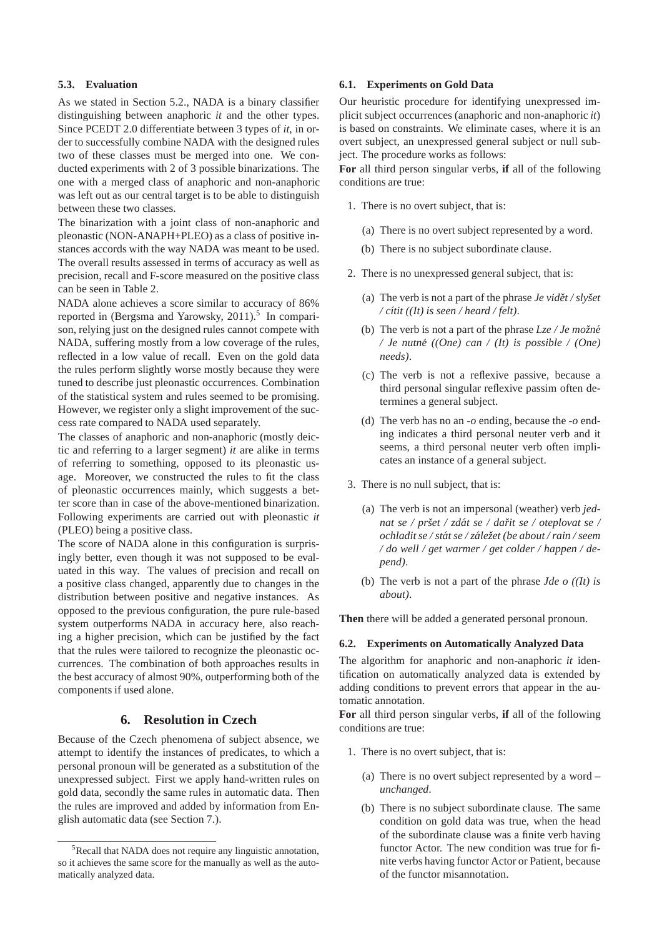#### **5.3. Evaluation**

As we stated in Section 5.2., NADA is a binary classifier distinguishing between anaphoric *it* and the other types. Since PCEDT 2.0 differentiate between 3 types of *it*, in order to successfully combine NADA with the designed rules two of these classes must be merged into one. We conducted experiments with 2 of 3 possible binarizations. The one with a merged class of anaphoric and non-anaphoric was left out as our central target is to be able to distinguish between these two classes.

The binarization with a joint class of non-anaphoric and pleonastic (NON-ANAPH+PLEO) as a class of positive instances accords with the way NADA was meant to be used. The overall results assessed in terms of accuracy as well as precision, recall and F-score measured on the positive class can be seen in Table 2.

NADA alone achieves a score similar to accuracy of 86% reported in (Bergsma and Yarowsky, 2011).<sup>5</sup> In comparison, relying just on the designed rules cannot compete with NADA, suffering mostly from a low coverage of the rules, reflected in a low value of recall. Even on the gold data the rules perform slightly worse mostly because they were tuned to describe just pleonastic occurrences. Combination of the statistical system and rules seemed to be promising. However, we register only a slight improvement of the success rate compared to NADA used separately.

The classes of anaphoric and non-anaphoric (mostly deictic and referring to a larger segment) *it* are alike in terms of referring to something, opposed to its pleonastic usage. Moreover, we constructed the rules to fit the class of pleonastic occurrences mainly, which suggests a better score than in case of the above-mentioned binarization. Following experiments are carried out with pleonastic *it* (PLEO) being a positive class.

The score of NADA alone in this configuration is surprisingly better, even though it was not supposed to be evaluated in this way. The values of precision and recall on a positive class changed, apparently due to changes in the distribution between positive and negative instances. As opposed to the previous configuration, the pure rule-based system outperforms NADA in accuracy here, also reaching a higher precision, which can be justified by the fact that the rules were tailored to recognize the pleonastic occurrences. The combination of both approaches results in the best accuracy of almost 90%, outperforming both of the components if used alone.

### **6. Resolution in Czech**

Because of the Czech phenomena of subject absence, we attempt to identify the instances of predicates, to which a personal pronoun will be generated as a substitution of the unexpressed subject. First we apply hand-written rules on gold data, secondly the same rules in automatic data. Then the rules are improved and added by information from English automatic data (see Section 7.).

#### **6.1. Experiments on Gold Data**

Our heuristic procedure for identifying unexpressed implicit subject occurrences (anaphoric and non-anaphoric *it*) is based on constraints. We eliminate cases, where it is an overt subject, an unexpressed general subject or null subject. The procedure works as follows:

**For** all third person singular verbs, **if** all of the following conditions are true:

- 1. There is no overt subject, that is:
	- (a) There is no overt subject represented by a word.
	- (b) There is no subject subordinate clause.
- 2. There is no unexpressed general subject, that is:
	- (a) The verb is not a part of the phrase  $Je$  *vidět* / slyst */ c´ıtit ((It) is seen / heard / felt)*.
	- (b) The verb is not a part of the phrase  $Lze / Je$  *možné*  $\ell$  *Je nutné* ((One) can  $\ell$  (It) is possible  $\ell$  (One) *needs)*.
	- (c) The verb is not a reflexive passive, because a third personal singular reflexive passim often determines a general subject.
	- (d) The verb has no an *-o* ending, because the *-o* ending indicates a third personal neuter verb and it seems, a third personal neuter verb often implicates an instance of a general subject.
- 3. There is no null subject, that is:
	- (a) The verb is not an impersonal (weather) verb *jednat se / prˇset / zdat se / da ´ rit se / oteplovat se / ˇ ochladit se / stat se / z ´ ale ´ zet (be about / rain / seem ˇ / do well / get warmer / get colder / happen / depend)*.
	- (b) The verb is not a part of the phrase *Jde o ((It) is about)*.

**Then** there will be added a generated personal pronoun.

#### **6.2. Experiments on Automatically Analyzed Data**

The algorithm for anaphoric and non-anaphoric *it* identification on automatically analyzed data is extended by adding conditions to prevent errors that appear in the automatic annotation.

**For** all third person singular verbs, **if** all of the following conditions are true:

- 1. There is no overt subject, that is:
	- (a) There is no overt subject represented by a word *– unchanged*.
	- (b) There is no subject subordinate clause. The same condition on gold data was true, when the head of the subordinate clause was a finite verb having functor Actor. The new condition was true for finite verbs having functor Actor or Patient, because of the functor misannotation.

 ${}^{5}$ Recall that NADA does not require any linguistic annotation, so it achieves the same score for the manually as well as the automatically analyzed data.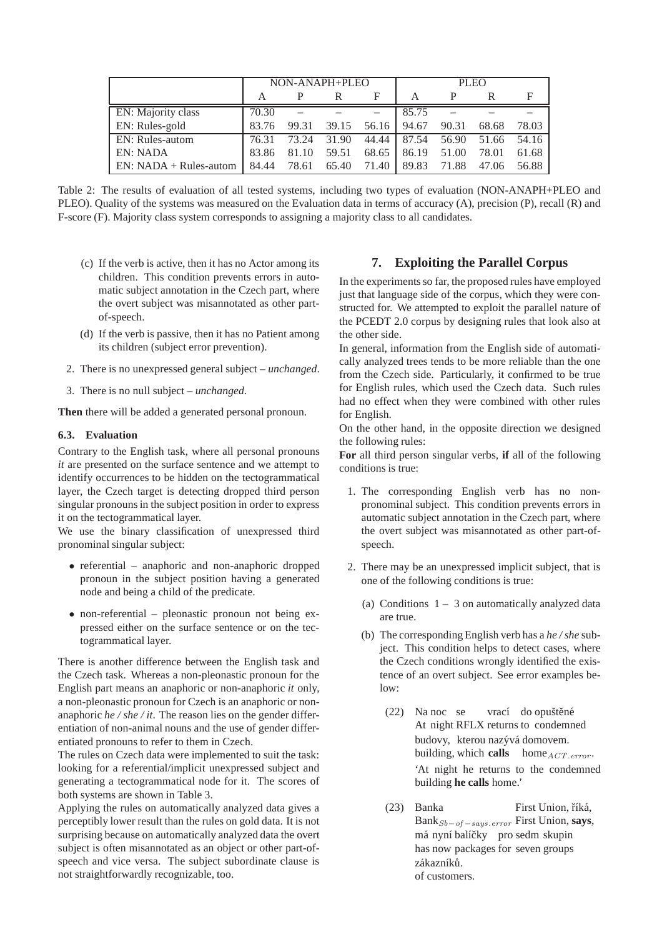|                          | NON-ANAPH+PLEO |       |       |       | <b>PLEO</b> |       |       |       |
|--------------------------|----------------|-------|-------|-------|-------------|-------|-------|-------|
|                          |                |       |       | F     | А           | P     |       | F     |
| EN: Majority class       | 70.30          |       |       |       | 85.75       |       |       |       |
| EN: Rules-gold           | 83.76          | 99.31 | 39.15 | 56.16 | 94.67       | 90.31 | 68.68 | 78.03 |
| EN: Rules-autom          | 76.31          | 73.24 | 31.90 | 44.44 | 87.54       | 56.90 | 51.66 | 54.16 |
| <b>EN: NADA</b>          | 83.86          | 81.10 | 59.51 | 68.65 | 86.19       | 51.00 | 78.01 | 61.68 |
| $EN: NADA + Rules-autom$ | 84.44          | 78.61 | 65.40 | 71.40 | 89.83       | 71.88 | 47.06 | 56.88 |

Table 2: The results of evaluation of all tested systems, including two types of evaluation (NON-ANAPH+PLEO and PLEO). Quality of the systems was measured on the Evaluation data in terms of accuracy (A), precision (P), recall (R) and F-score (F). Majority class system corresponds to assigning a majority class to all candidates.

- (c) If the verb is active, then it has no Actor among its children. This condition prevents errors in automatic subject annotation in the Czech part, where the overt subject was misannotated as other partof-speech.
- (d) If the verb is passive, then it has no Patient among its children (subject error prevention).
- 2. There is no unexpressed general subject  *unchanged*.
- 3. There is no null subject  *unchanged*.

**Then** there will be added a generated personal pronoun.

# **6.3. Evaluation**

Contrary to the English task, where all personal pronouns *it* are presented on the surface sentence and we attempt to identify occurrences to be hidden on the tectogrammatical layer, the Czech target is detecting dropped third person singular pronouns in the subject position in order to express it on the tectogrammatical layer.

We use the binary classification of unexpressed third pronominal singular subject:

- referential anaphoric and non-anaphoric dropped pronoun in the subject position having a generated node and being a child of the predicate.
- non-referential pleonastic pronoun not being expressed either on the surface sentence or on the tectogrammatical layer.

There is another difference between the English task and the Czech task. Whereas a non-pleonastic pronoun for the English part means an anaphoric or non-anaphoric *it* only, a non-pleonastic pronoun for Czech is an anaphoric or nonanaphoric *he / she / it*. The reason lies on the gender differentiation of non-animal nouns and the use of gender differentiated pronouns to refer to them in Czech.

The rules on Czech data were implemented to suit the task: looking for a referential/implicit unexpressed subject and generating a tectogrammatical node for it. The scores of both systems are shown in Table 3.

Applying the rules on automatically analyzed data gives a perceptibly lower result than the rules on gold data. It is not surprising because on automatically analyzed data the overt subject is often misannotated as an object or other part-ofspeech and vice versa. The subject subordinate clause is not straightforwardly recognizable, too.

# **7. Exploiting the Parallel Corpus**

In the experiments so far, the proposed rules have employed just that language side of the corpus, which they were constructed for. We attempted to exploit the parallel nature of the PCEDT 2.0 corpus by designing rules that look also at the other side.

In general, information from the English side of automatically analyzed trees tends to be more reliable than the one from the Czech side. Particularly, it confirmed to be true for English rules, which used the Czech data. Such rules had no effect when they were combined with other rules for English.

On the other hand, in the opposite direction we designed the following rules:

**For** all third person singular verbs, **if** all of the following conditions is true:

- 1. The corresponding English verb has no nonpronominal subject. This condition prevents errors in automatic subject annotation in the Czech part, where the overt subject was misannotated as other part-ofspeech.
- 2. There may be an unexpressed implicit subject, that is one of the following conditions is true:
	- (a) Conditions  $1 3$  on automatically analyzed data are true.
	- (b) The corresponding English verb has a *he / she* subject. This condition helps to detect cases, where the Czech conditions wrongly identified the existence of an overt subject. See error examples below:
		- $(22)$ At night RFLX returns to condemned noc se vrací do opuštěné budovy, kterou nazývá domovem. building, which calls home<sub>ACT.error</sub>. 'At night he returns to the condemned building **he calls** home.'
		- (23) Banka BankSb−of <sup>−</sup>says.error First Union, **says**, First Union, říká, má nyní balíčky pro sedm skupin has now packages for seven groups zákazníků. of customers.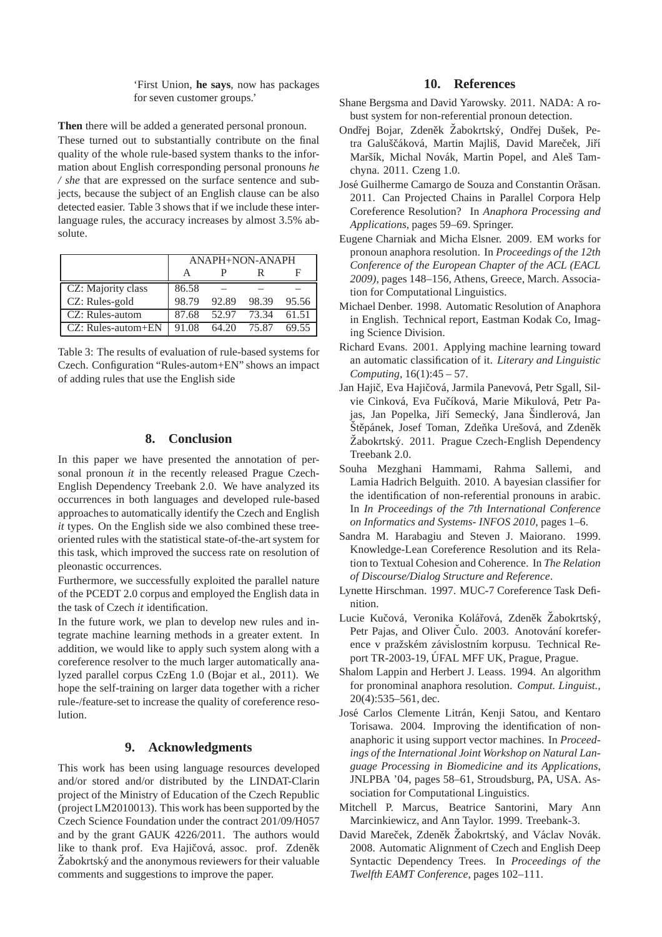'First Union, **he says**, now has packages for seven customer groups.'

**Then** there will be added a generated personal pronoun.

These turned out to substantially contribute on the final quality of the whole rule-based system thanks to the information about English corresponding personal pronouns *he / she* that are expressed on the surface sentence and subjects, because the subject of an English clause can be also detected easier. Table 3 shows that if we include these interlanguage rules, the accuracy increases by almost 3.5% absolute.

|                    | ANAPH+NON-ANAPH |             |             |       |  |  |  |  |
|--------------------|-----------------|-------------|-------------|-------|--|--|--|--|
|                    |                 |             |             |       |  |  |  |  |
| CZ: Majority class | 86.58           |             |             |       |  |  |  |  |
| CZ: Rules-gold     | 98.79           | 92.89       | 98.39       | 95.56 |  |  |  |  |
| CZ: Rules-autom    | 87.68           | 52.97 73.34 |             | 61.51 |  |  |  |  |
| CZ: Rules-autom+EN | 91.08           |             | 64.20 75.87 | 69.55 |  |  |  |  |

Table 3: The results of evaluation of rule-based systems for Czech. Configuration "Rules-autom+EN" shows an impact of adding rules that use the English side

# **8. Conclusion**

In this paper we have presented the annotation of personal pronoun *it* in the recently released Prague Czech-English Dependency Treebank 2.0. We have analyzed its occurrences in both languages and developed rule-based approaches to automatically identify the Czech and English *it* types. On the English side we also combined these treeoriented rules with the statistical state-of-the-art system for this task, which improved the success rate on resolution of pleonastic occurrences.

Furthermore, we successfully exploited the parallel nature of the PCEDT 2.0 corpus and employed the English data in the task of Czech *it* identification.

In the future work, we plan to develop new rules and integrate machine learning methods in a greater extent. In addition, we would like to apply such system along with a coreference resolver to the much larger automatically analyzed parallel corpus CzEng 1.0 (Bojar et al., 2011). We hope the self-training on larger data together with a richer rule-/feature-set to increase the quality of coreference resolution.

# **9. Acknowledgments**

This work has been using language resources developed and/or stored and/or distributed by the LINDAT-Clarin project of the Ministry of Education of the Czech Republic (project LM2010013). This work has been supported by the Czech Science Foundation under the contract 201/09/H057 and by the grant GAUK 4226/2011. The authors would like to thank prof. Eva Hajičová, assoc. prof. Zdeněk  $\angle Z$ abokrtský and the anonymous reviewers for their valuable comments and suggestions to improve the paper.

### **10. References**

- Shane Bergsma and David Yarowsky. 2011. NADA: A robust system for non-referential pronoun detection.
- Ondřej Bojar, Zdeněk Žabokrtský, Ondřej Dušek, Petra Galuščáková, Martin Majliš, David Mareček, Jiří Maršík, Michal Novák, Martin Popel, and Aleš Tamchyna. 2011. Czeng 1.0.
- José Guilherme Camargo de Souza and Constantin Orăsan. 2011. Can Projected Chains in Parallel Corpora Help Coreference Resolution? In *Anaphora Processing and Applications*, pages 59–69. Springer.
- Eugene Charniak and Micha Elsner. 2009. EM works for pronoun anaphora resolution. In *Proceedings of the 12th Conference of the European Chapter of the ACL (EACL 2009)*, pages 148–156, Athens, Greece, March. Association for Computational Linguistics.
- Michael Denber. 1998. Automatic Resolution of Anaphora in English. Technical report, Eastman Kodak Co, Imaging Science Division.
- Richard Evans. 2001. Applying machine learning toward an automatic classification of it. *Literary and Linguistic Computing*, 16(1):45 – 57.
- Jan Hajič, Eva Hajičová, Jarmila Panevová, Petr Sgall, Silvie Cinková, Eva Fučíková, Marie Mikulová, Petr Pajas, Jan Popelka, Jiří Semecký, Jana Šindlerová, Jan Štěpánek, Josef Toman, Zdeňka Urešová, and Zdeněk  $\check{Z}$ abokrtský. 2011. Prague Czech-English Dependency Treebank 2.0.
- Souha Mezghani Hammami, Rahma Sallemi, and Lamia Hadrich Belguith. 2010. A bayesian classifier for the identification of non-referential pronouns in arabic. In *In Proceedings of the 7th International Conference on Informatics and Systems- INFOS 2010*, pages 1–6.
- Sandra M. Harabagiu and Steven J. Maiorano. 1999. Knowledge-Lean Coreference Resolution and its Relation to Textual Cohesion and Coherence. In *The Relation of Discourse/Dialog Structure and Reference*.
- Lynette Hirschman. 1997. MUC-7 Coreference Task Definition.
- Lucie Kučová, Veronika Kolářová, Zdeněk Žabokrtský, Petr Pajas, and Oliver Čulo. 2003. Anotování koreference v pražském závislostním korpusu. Technical Report TR-2003-19, ÚFAL MFF UK, Prague, Prague.
- Shalom Lappin and Herbert J. Leass. 1994. An algorithm for pronominal anaphora resolution. *Comput. Linguist.*, 20(4):535–561, dec.
- José Carlos Clemente Litrán, Kenji Satou, and Kentaro Torisawa. 2004. Improving the identification of nonanaphoric it using support vector machines. In *Proceedings of the International Joint Workshop on Natural Language Processing in Biomedicine and its Applications*, JNLPBA '04, pages 58–61, Stroudsburg, PA, USA. Association for Computational Linguistics.
- Mitchell P. Marcus, Beatrice Santorini, Mary Ann Marcinkiewicz, and Ann Taylor. 1999. Treebank-3.
- David Mareček, Zdeněk Žabokrtský, and Václav Novák. 2008. Automatic Alignment of Czech and English Deep Syntactic Dependency Trees. In *Proceedings of the Twelfth EAMT Conference*, pages 102–111.